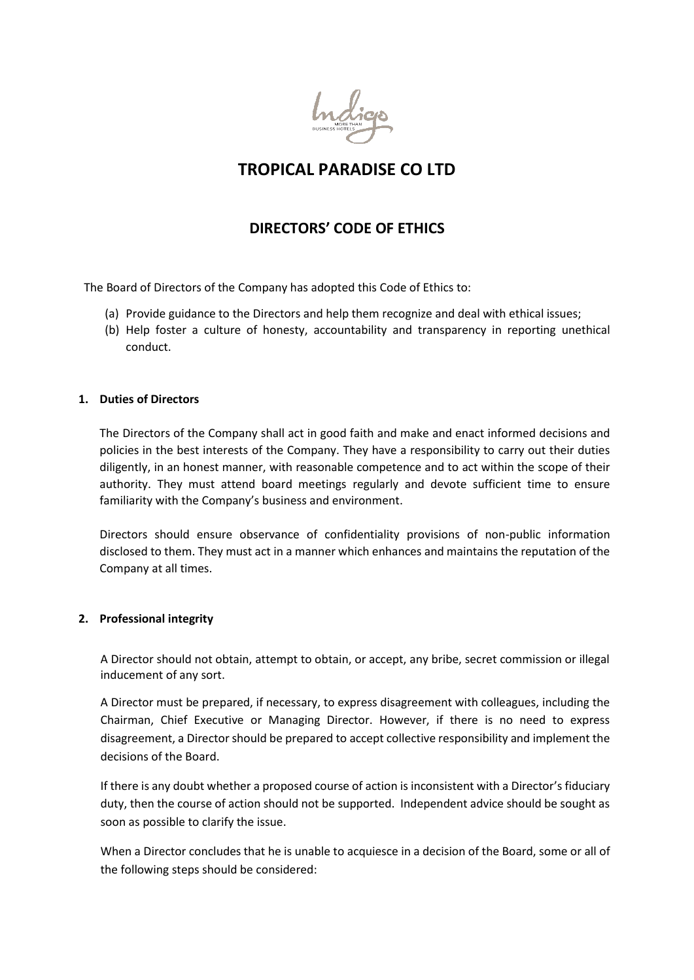

# **TROPICAL PARADISE CO LTD**

## **DIRECTORS' CODE OF ETHICS**

The Board of Directors of the Company has adopted this Code of Ethics to:

- (a) Provide guidance to the Directors and help them recognize and deal with ethical issues;
- (b) Help foster a culture of honesty, accountability and transparency in reporting unethical conduct.

#### **1. Duties of Directors**

The Directors of the Company shall act in good faith and make and enact informed decisions and policies in the best interests of the Company. They have a responsibility to carry out their duties diligently, in an honest manner, with reasonable competence and to act within the scope of their authority. They must attend board meetings regularly and devote sufficient time to ensure familiarity with the Company's business and environment.

Directors should ensure observance of confidentiality provisions of non-public information disclosed to them. They must act in a manner which enhances and maintains the reputation of the Company at all times.

## **2. Professional integrity**

A Director should not obtain, attempt to obtain, or accept, any bribe, secret commission or illegal inducement of any sort.

A Director must be prepared, if necessary, to express disagreement with colleagues, including the Chairman, Chief Executive or Managing Director. However, if there is no need to express disagreement, a Director should be prepared to accept collective responsibility and implement the decisions of the Board.

If there is any doubt whether a proposed course of action is inconsistent with a Director's fiduciary duty, then the course of action should not be supported. Independent advice should be sought as soon as possible to clarify the issue.

When a Director concludes that he is unable to acquiesce in a decision of the Board, some or all of the following steps should be considered: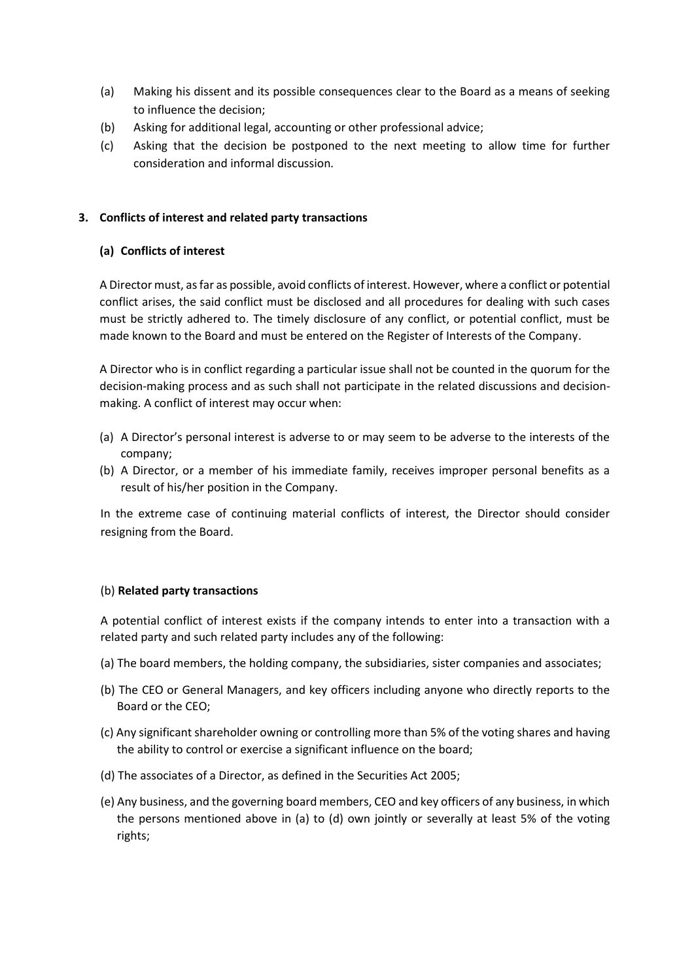- (a) Making his dissent and its possible consequences clear to the Board as a means of seeking to influence the decision;
- (b) Asking for additional legal, accounting or other professional advice;
- (c) Asking that the decision be postponed to the next meeting to allow time for further consideration and informal discussion*.*

## **3. Conflicts of interest and related party transactions**

## **(a) Conflicts of interest**

A Director must, as far as possible, avoid conflicts of interest. However, where a conflict or potential conflict arises, the said conflict must be disclosed and all procedures for dealing with such cases must be strictly adhered to. The timely disclosure of any conflict, or potential conflict, must be made known to the Board and must be entered on the Register of Interests of the Company.

A Director who is in conflict regarding a particular issue shall not be counted in the quorum for the decision-making process and as such shall not participate in the related discussions and decisionmaking. A conflict of interest may occur when:

- (a) A Director's personal interest is adverse to or may seem to be adverse to the interests of the company;
- (b) A Director, or a member of his immediate family, receives improper personal benefits as a result of his/her position in the Company.

In the extreme case of continuing material conflicts of interest, the Director should consider resigning from the Board.

## (b) **Related party transactions**

A potential conflict of interest exists if the company intends to enter into a transaction with a related party and such related party includes any of the following:

- (a) The board members, the holding company, the subsidiaries, sister companies and associates;
- (b) The CEO or General Managers, and key officers including anyone who directly reports to the Board or the CEO;
- (c) Any significant shareholder owning or controlling more than 5% of the voting shares and having the ability to control or exercise a significant influence on the board;
- (d) The associates of a Director, as defined in the Securities Act 2005;
- (e) Any business, and the governing board members, CEO and key officers of any business, in which the persons mentioned above in (a) to (d) own jointly or severally at least 5% of the voting rights;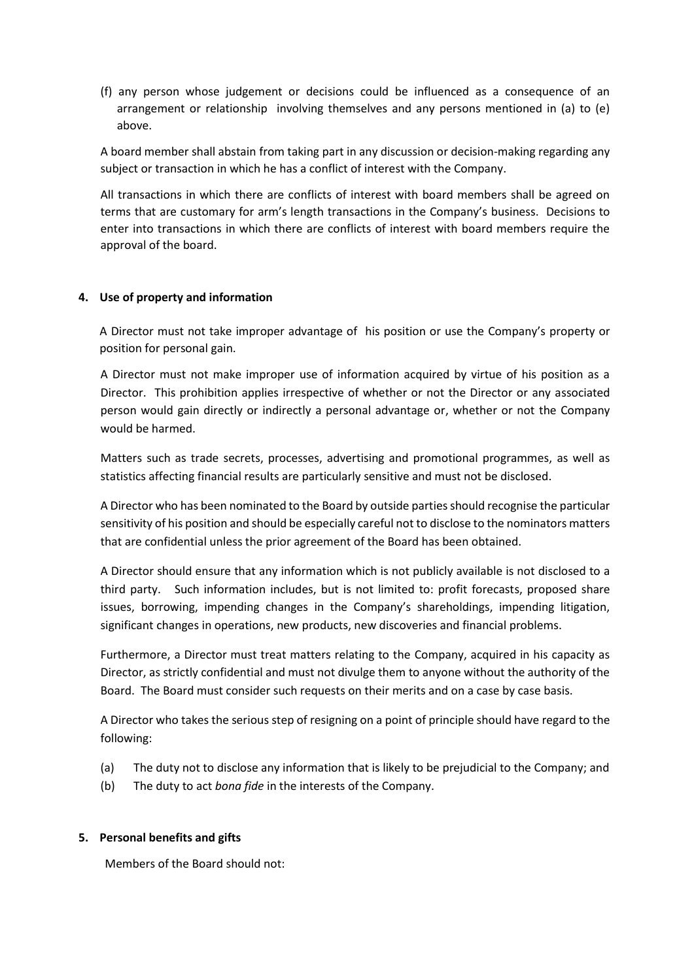(f) any person whose judgement or decisions could be influenced as a consequence of an arrangement or relationship involving themselves and any persons mentioned in (a) to (e) above.

A board member shall abstain from taking part in any discussion or decision-making regarding any subject or transaction in which he has a conflict of interest with the Company.

All transactions in which there are conflicts of interest with board members shall be agreed on terms that are customary for arm's length transactions in the Company's business. Decisions to enter into transactions in which there are conflicts of interest with board members require the approval of the board.

#### **4. Use of property and information**

A Director must not take improper advantage of his position or use the Company's property or position for personal gain.

A Director must not make improper use of information acquired by virtue of his position as a Director. This prohibition applies irrespective of whether or not the Director or any associated person would gain directly or indirectly a personal advantage or, whether or not the Company would be harmed.

Matters such as trade secrets, processes, advertising and promotional programmes, as well as statistics affecting financial results are particularly sensitive and must not be disclosed.

A Director who has been nominated to the Board by outside parties should recognise the particular sensitivity of his position and should be especially careful not to disclose to the nominators matters that are confidential unless the prior agreement of the Board has been obtained.

A Director should ensure that any information which is not publicly available is not disclosed to a third party. Such information includes, but is not limited to: profit forecasts, proposed share issues, borrowing, impending changes in the Company's shareholdings, impending litigation, significant changes in operations, new products, new discoveries and financial problems.

Furthermore, a Director must treat matters relating to the Company, acquired in his capacity as Director, as strictly confidential and must not divulge them to anyone without the authority of the Board. The Board must consider such requests on their merits and on a case by case basis.

A Director who takes the serious step of resigning on a point of principle should have regard to the following:

- (a) The duty not to disclose any information that is likely to be prejudicial to the Company; and
- (b) The duty to act *bona fide* in the interests of the Company.

#### **5. Personal benefits and gifts**

Members of the Board should not: